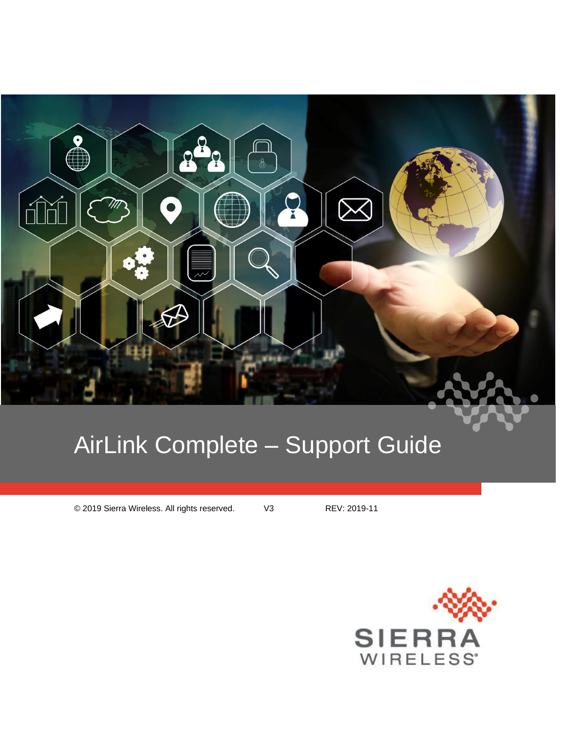

# AirLink Complete – Support Guide

© 2019 Sierra Wireless. All rights reserved. V3 REV: 2019-11

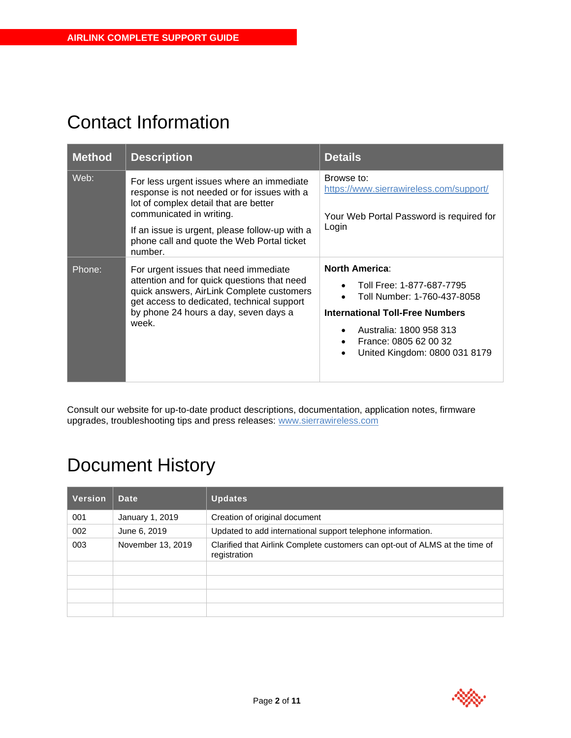# Contact Information

| <b>Method</b> | <b>Description</b>                                                                                                                                                                                                                                                       | <b>Details</b>                                                                                                                                                                                                                             |
|---------------|--------------------------------------------------------------------------------------------------------------------------------------------------------------------------------------------------------------------------------------------------------------------------|--------------------------------------------------------------------------------------------------------------------------------------------------------------------------------------------------------------------------------------------|
| Web:          | For less urgent issues where an immediate<br>response is not needed or for issues with a<br>lot of complex detail that are better<br>communicated in writing.<br>If an issue is urgent, please follow-up with a<br>phone call and quote the Web Portal ticket<br>number. | Browse to:<br>https://www.sierrawireless.com/support/<br>Your Web Portal Password is required for<br>Login                                                                                                                                 |
| Phone:        | For urgent issues that need immediate<br>attention and for quick questions that need<br>quick answers, AirLink Complete customers<br>get access to dedicated, technical support<br>by phone 24 hours a day, seven days a<br>week.                                        | <b>North America:</b><br>Toll Free: 1-877-687-7795<br>$\bullet$<br>Toll Number: 1-760-437-8058<br><b>International Toll-Free Numbers</b><br>Australia: 1800 958 313<br>France: 0805 62 00 32<br>$\bullet$<br>United Kingdom: 0800 031 8179 |

Consult our website for up-to-date product descriptions, documentation, application notes, firmware upgrades, troubleshooting tips and press releases: [www.sierrawireless.com](http://www.sierrawireless.com/)

# Document History

| <b>Version</b> | Date              | <b>Updates</b>                                                                               |  |
|----------------|-------------------|----------------------------------------------------------------------------------------------|--|
| 001            | January 1, 2019   | Creation of original document                                                                |  |
| 002            | June 6, 2019      | Updated to add international support telephone information.                                  |  |
| 003            | November 13, 2019 | Clarified that Airlink Complete customers can opt-out of ALMS at the time of<br>registration |  |
|                |                   |                                                                                              |  |
|                |                   |                                                                                              |  |
|                |                   |                                                                                              |  |
|                |                   |                                                                                              |  |

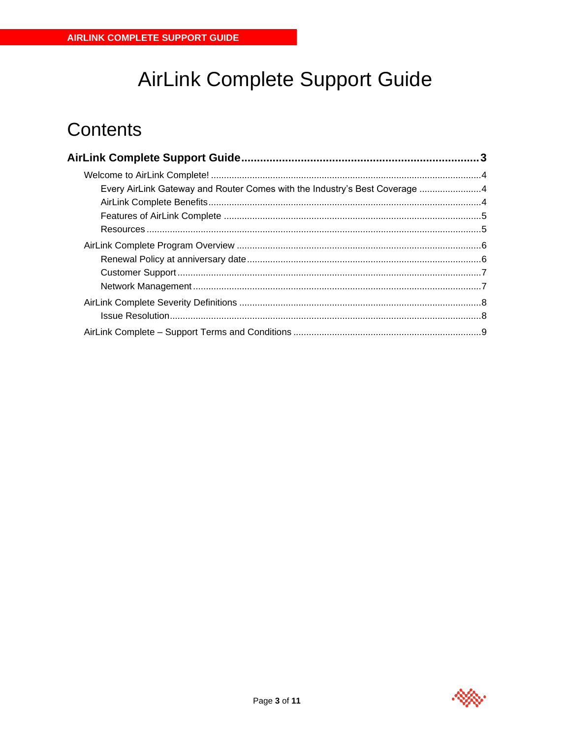# AirLink Complete Support Guide

# <span id="page-2-0"></span>**Contents**

| Every AirLink Gateway and Router Comes with the Industry's Best Coverage 4 |  |
|----------------------------------------------------------------------------|--|
|                                                                            |  |
|                                                                            |  |
|                                                                            |  |
|                                                                            |  |
|                                                                            |  |
|                                                                            |  |
|                                                                            |  |
|                                                                            |  |
|                                                                            |  |
|                                                                            |  |

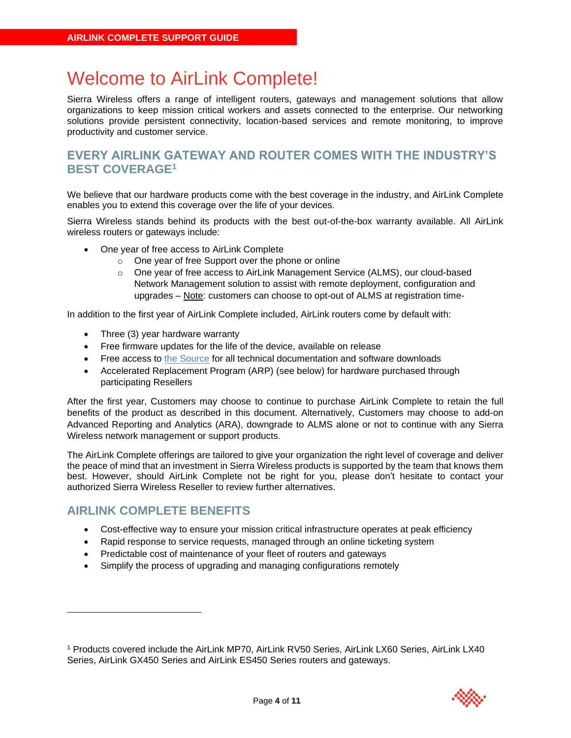# <span id="page-3-0"></span>Welcome to AirLink Complete!

Sierra Wireless offers a range of intelligent routers, gateways and management solutions that allow organizations to keep mission critical workers and assets connected to the enterprise. Our networking solutions provide persistent connectivity, location-based services and remote monitoring, to improve productivity and customer service.

#### <span id="page-3-1"></span>**EVERY AIRLINK GATEWAY AND ROUTER COMES WITH THE INDUSTRY'S BEST COVERAGE<sup>1</sup>**

We believe that our hardware products come with the best coverage in the industry, and AirLink Complete enables you to extend this coverage over the life of your devices.

Sierra Wireless stands behind its products with the best out-of-the-box warranty available. All AirLink wireless routers or gateways include:

- One year of free access to AirLink Complete
	- o One year of free Support over the phone or online
	- o One year of free access to AirLink Management Service (ALMS), our cloud-based Network Management solution to assist with remote deployment, configuration and upgrades – Note: customers can choose to opt-out of ALMS at registration time-

In addition to the first year of AirLink Complete included, AirLink routers come by default with:

- Three (3) year hardware warranty
- Free firmware updates for the life of the device, available on release
- Free access to [the Source](http://source.sierrawireless.com/) for all technical documentation and software downloads
- Accelerated Replacement Program (ARP) (see below) for hardware purchased through participating Resellers

After the first year, Customers may choose to continue to purchase AirLink Complete to retain the full benefits of the product as described in this document. Alternatively, Customers may choose to add-on Advanced Reporting and Analytics (ARA), downgrade to ALMS alone or not to continue with any Sierra Wireless network management or support products.

The AirLink Complete offerings are tailored to give your organization the right level of coverage and deliver the peace of mind that an investment in Sierra Wireless products is supported by the team that knows them best. However, should AirLink Complete not be right for you, please don't hesitate to contact your authorized Sierra Wireless Reseller to review further alternatives.

#### <span id="page-3-2"></span>**AIRLINK COMPLETE BENEFITS**

- Cost-effective way to ensure your mission critical infrastructure operates at peak efficiency
- Rapid response to service requests, managed through an online ticketing system
- Predictable cost of maintenance of your fleet of routers and gateways
- Simplify the process of upgrading and managing configurations remotely

<sup>1</sup> Products covered include the AirLink MP70, AirLink RV50 Series, AirLink LX60 Series, AirLink LX40 Series, AirLink GX450 Series and AirLink ES450 Series routers and gateways.

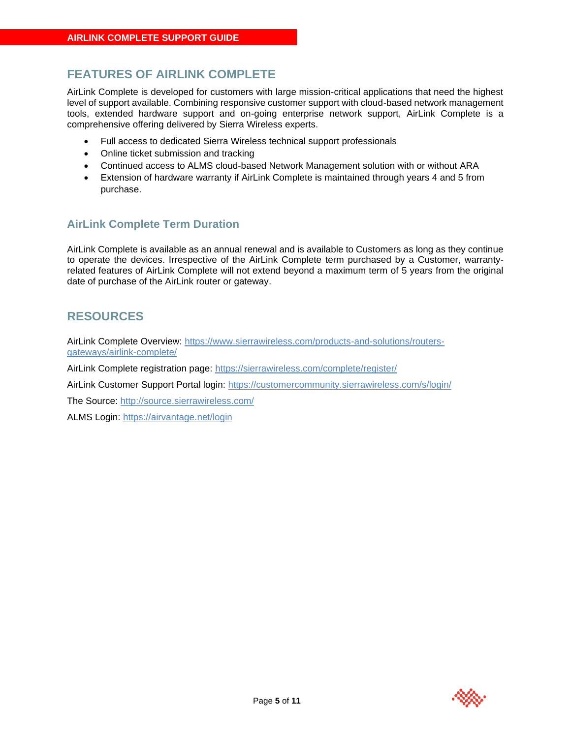### <span id="page-4-0"></span>**FEATURES OF AIRLINK COMPLETE**

AirLink Complete is developed for customers with large mission-critical applications that need the highest level of support available. Combining responsive customer support with cloud-based network management tools, extended hardware support and on-going enterprise network support, AirLink Complete is a comprehensive offering delivered by Sierra Wireless experts.

- Full access to dedicated Sierra Wireless technical support professionals
- Online ticket submission and tracking
- Continued access to ALMS cloud-based Network Management solution with or without ARA
- Extension of hardware warranty if AirLink Complete is maintained through years 4 and 5 from purchase.

#### **AirLink Complete Term Duration**

AirLink Complete is available as an annual renewal and is available to Customers as long as they continue to operate the devices. Irrespective of the AirLink Complete term purchased by a Customer, warrantyrelated features of AirLink Complete will not extend beyond a maximum term of 5 years from the original date of purchase of the AirLink router or gateway.

#### <span id="page-4-1"></span>**RESOURCES**

AirLink Complete Overview: [https://www.sierrawireless.com/products-and-solutions/routers](https://www.sierrawireless.com/products-and-solutions/routers-gateways/airlink-complete/)[gateways/airlink-complete/](https://www.sierrawireless.com/products-and-solutions/routers-gateways/airlink-complete/)

AirLink Complete registration page:<https://sierrawireless.com/complete/register/>

AirLink Customer Support Portal login:<https://customercommunity.sierrawireless.com/s/login/>

The Source:<http://source.sierrawireless.com/>

ALMS Login:<https://airvantage.net/login>

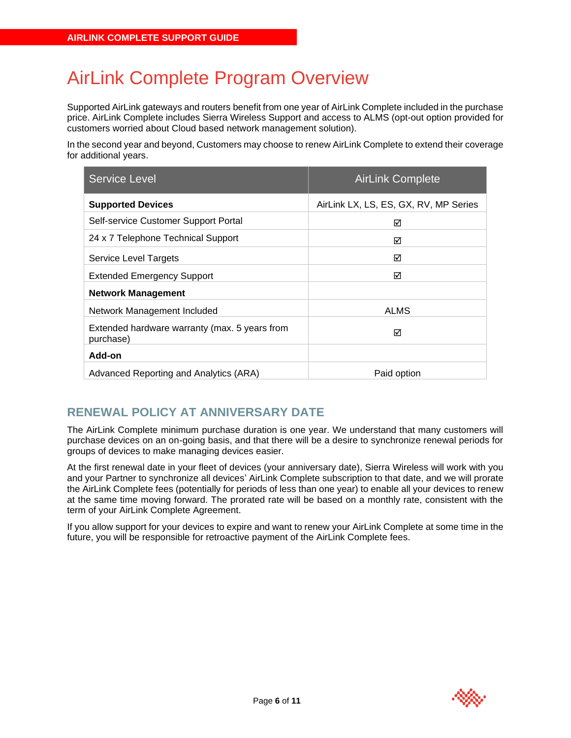# <span id="page-5-0"></span>AirLink Complete Program Overview

Supported AirLink gateways and routers benefit from one year of AirLink Complete included in the purchase price. AirLink Complete includes Sierra Wireless Support and access to ALMS (opt-out option provided for customers worried about Cloud based network management solution).

In the second year and beyond, Customers may choose to renew AirLink Complete to extend their coverage for additional years.

| <b>Service Level</b>                                       | <b>AirLink Complete</b>               |
|------------------------------------------------------------|---------------------------------------|
| <b>Supported Devices</b>                                   | AirLink LX, LS, ES, GX, RV, MP Series |
| Self-service Customer Support Portal                       | ⊠                                     |
| 24 x 7 Telephone Technical Support                         | ⊠                                     |
| Service Level Targets                                      | ⊠                                     |
| <b>Extended Emergency Support</b>                          | ⊠                                     |
| <b>Network Management</b>                                  |                                       |
| Network Management Included                                | <b>ALMS</b>                           |
| Extended hardware warranty (max. 5 years from<br>purchase) | ⊠                                     |
| Add-on                                                     |                                       |
| Advanced Reporting and Analytics (ARA)                     | Paid option                           |

## <span id="page-5-1"></span>**RENEWAL POLICY AT ANNIVERSARY DATE**

The AirLink Complete minimum purchase duration is one year. We understand that many customers will purchase devices on an on-going basis, and that there will be a desire to synchronize renewal periods for groups of devices to make managing devices easier.

At the first renewal date in your fleet of devices (your anniversary date), Sierra Wireless will work with you and your Partner to synchronize all devices' AirLink Complete subscription to that date, and we will prorate the AirLink Complete fees (potentially for periods of less than one year) to enable all your devices to renew at the same time moving forward. The prorated rate will be based on a monthly rate, consistent with the term of your AirLink Complete Agreement.

If you allow support for your devices to expire and want to renew your AirLink Complete at some time in the future, you will be responsible for retroactive payment of the AirLink Complete fees.

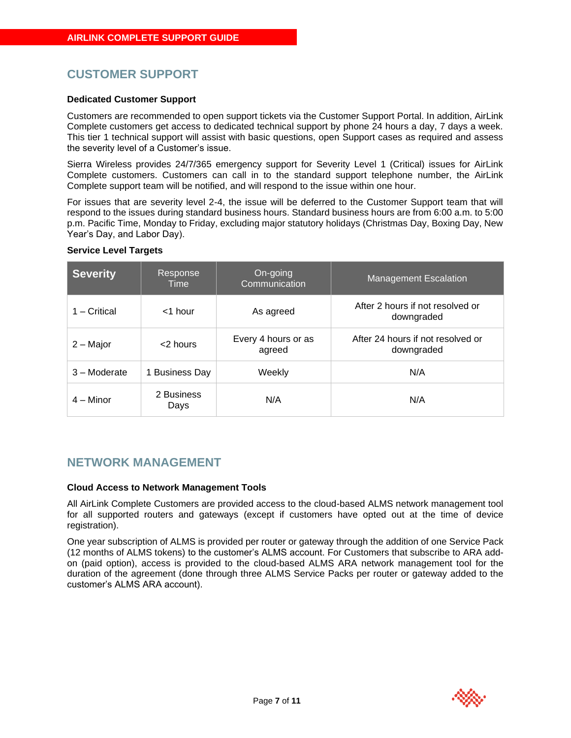### <span id="page-6-0"></span>**CUSTOMER SUPPORT**

#### **Dedicated Customer Support**

Customers are recommended to open support tickets via the Customer Support Portal. In addition, AirLink Complete customers get access to dedicated technical support by phone 24 hours a day, 7 days a week. This tier 1 technical support will assist with basic questions, open Support cases as required and assess the severity level of a Customer's issue.

Sierra Wireless provides 24/7/365 emergency support for Severity Level 1 (Critical) issues for AirLink Complete customers. Customers can call in to the standard support telephone number, the AirLink Complete support team will be notified, and will respond to the issue within one hour.

For issues that are severity level 2-4, the issue will be deferred to the Customer Support team that will respond to the issues during standard business hours. Standard business hours are from 6:00 a.m. to 5:00 p.m. Pacific Time, Monday to Friday, excluding major statutory holidays (Christmas Day, Boxing Day, New Year's Day, and Labor Day).

| <b>Severity</b> | Response<br>Time   | On-going<br>Communication     | <b>Management Escalation</b>                    |
|-----------------|--------------------|-------------------------------|-------------------------------------------------|
| - Critical      | $<$ 1 hour         | As agreed                     | After 2 hours if not resolved or<br>downgraded  |
| 2 – Major       | $<$ 2 hours        | Every 4 hours or as<br>agreed | After 24 hours if not resolved or<br>downgraded |
| 3 – Moderate    | 1 Business Day     | Weekly                        | N/A                                             |
| $4 -$ Minor     | 2 Business<br>Days | N/A                           | N/A                                             |

#### **Service Level Targets**

#### <span id="page-6-1"></span>**NETWORK MANAGEMENT**

#### **Cloud Access to Network Management Tools**

All AirLink Complete Customers are provided access to the cloud-based ALMS network management tool for all supported routers and gateways (except if customers have opted out at the time of device registration).

One year subscription of ALMS is provided per router or gateway through the addition of one Service Pack (12 months of ALMS tokens) to the customer's ALMS account. For Customers that subscribe to ARA addon (paid option), access is provided to the cloud-based ALMS ARA network management tool for the duration of the agreement (done through three ALMS Service Packs per router or gateway added to the customer's ALMS ARA account).

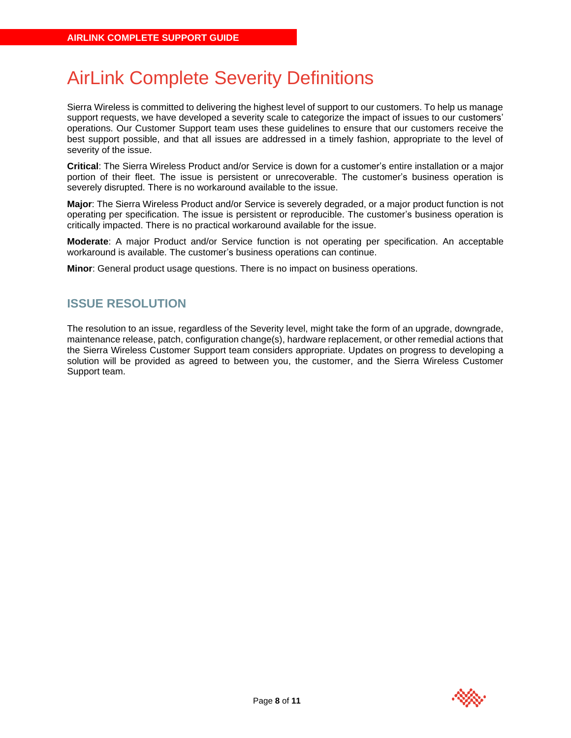# <span id="page-7-0"></span>AirLink Complete Severity Definitions

Sierra Wireless is committed to delivering the highest level of support to our customers. To help us manage support requests, we have developed a severity scale to categorize the impact of issues to our customers' operations. Our Customer Support team uses these guidelines to ensure that our customers receive the best support possible, and that all issues are addressed in a timely fashion, appropriate to the level of severity of the issue.

**Critical**: The Sierra Wireless Product and/or Service is down for a customer's entire installation or a major portion of their fleet. The issue is persistent or unrecoverable. The customer's business operation is severely disrupted. There is no workaround available to the issue.

**Major**: The Sierra Wireless Product and/or Service is severely degraded, or a major product function is not operating per specification. The issue is persistent or reproducible. The customer's business operation is critically impacted. There is no practical workaround available for the issue.

**Moderate**: A major Product and/or Service function is not operating per specification. An acceptable workaround is available. The customer's business operations can continue.

<span id="page-7-1"></span>**Minor**: General product usage questions. There is no impact on business operations.

### **ISSUE RESOLUTION**

The resolution to an issue, regardless of the Severity level, might take the form of an upgrade, downgrade, maintenance release, patch, configuration change(s), hardware replacement, or other remedial actions that the Sierra Wireless Customer Support team considers appropriate. Updates on progress to developing a solution will be provided as agreed to between you, the customer, and the Sierra Wireless Customer Support team.

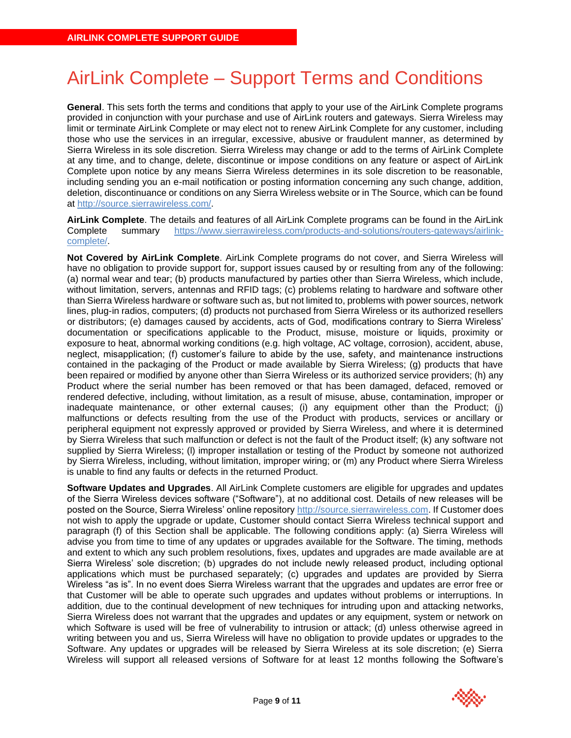# <span id="page-8-0"></span>AirLink Complete – Support Terms and Conditions

**General**. This sets forth the terms and conditions that apply to your use of the AirLink Complete programs provided in conjunction with your purchase and use of AirLink routers and gateways. Sierra Wireless may limit or terminate AirLink Complete or may elect not to renew AirLink Complete for any customer, including those who use the services in an irregular, excessive, abusive or fraudulent manner, as determined by Sierra Wireless in its sole discretion. Sierra Wireless may change or add to the terms of AirLink Complete at any time, and to change, delete, discontinue or impose conditions on any feature or aspect of AirLink Complete upon notice by any means Sierra Wireless determines in its sole discretion to be reasonable, including sending you an e-mail notification or posting information concerning any such change, addition, deletion, discontinuance or conditions on any Sierra Wireless website or in The Source, which can be found at [http://source.sierrawireless.com/.](http://source.sierrawireless.com/)

**AirLink Complete**. The details and features of all AirLink Complete programs can be found in the AirLink Complete summary [https://www.sierrawireless.com/products-and-solutions/routers-gateways/airlink](https://www.sierrawireless.com/products-and-solutions/routers-gateways/airlink-complete/)[complete/.](https://www.sierrawireless.com/products-and-solutions/routers-gateways/airlink-complete/)

**Not Covered by AirLink Complete**. AirLink Complete programs do not cover, and Sierra Wireless will have no obligation to provide support for, support issues caused by or resulting from any of the following: (a) normal wear and tear; (b) products manufactured by parties other than Sierra Wireless, which include, without limitation, servers, antennas and RFID tags; (c) problems relating to hardware and software other than Sierra Wireless hardware or software such as, but not limited to, problems with power sources, network lines, plug-in radios, computers; (d) products not purchased from Sierra Wireless or its authorized resellers or distributors; (e) damages caused by accidents, acts of God, modifications contrary to Sierra Wireless' documentation or specifications applicable to the Product, misuse, moisture or liquids, proximity or exposure to heat, abnormal working conditions (e.g. high voltage, AC voltage, corrosion), accident, abuse, neglect, misapplication; (f) customer's failure to abide by the use, safety, and maintenance instructions contained in the packaging of the Product or made available by Sierra Wireless; (g) products that have been repaired or modified by anyone other than Sierra Wireless or its authorized service providers; (h) any Product where the serial number has been removed or that has been damaged, defaced, removed or rendered defective, including, without limitation, as a result of misuse, abuse, contamination, improper or inadequate maintenance, or other external causes; (i) any equipment other than the Product; (i) malfunctions or defects resulting from the use of the Product with products, services or ancillary or peripheral equipment not expressly approved or provided by Sierra Wireless, and where it is determined by Sierra Wireless that such malfunction or defect is not the fault of the Product itself; (k) any software not supplied by Sierra Wireless; (l) improper installation or testing of the Product by someone not authorized by Sierra Wireless, including, without limitation, improper wiring; or (m) any Product where Sierra Wireless is unable to find any faults or defects in the returned Product.

**Software Updates and Upgrades**. All AirLink Complete customers are eligible for upgrades and updates of the Sierra Wireless devices software ("Software"), at no additional cost. Details of new releases will be posted on the Source, Sierra Wireless' online repositor[y http://source.sierrawireless.com.](http://source.sierrawireless.com/) If Customer does not wish to apply the upgrade or update, Customer should contact Sierra Wireless technical support and paragraph (f) of this Section shall be applicable. The following conditions apply: (a) Sierra Wireless will advise you from time to time of any updates or upgrades available for the Software. The timing, methods and extent to which any such problem resolutions, fixes, updates and upgrades are made available are at Sierra Wireless' sole discretion; (b) upgrades do not include newly released product, including optional applications which must be purchased separately; (c) upgrades and updates are provided by Sierra Wireless "as is". In no event does Sierra Wireless warrant that the upgrades and updates are error free or that Customer will be able to operate such upgrades and updates without problems or interruptions. In addition, due to the continual development of new techniques for intruding upon and attacking networks, Sierra Wireless does not warrant that the upgrades and updates or any equipment, system or network on which Software is used will be free of vulnerability to intrusion or attack; (d) unless otherwise agreed in writing between you and us, Sierra Wireless will have no obligation to provide updates or upgrades to the Software. Any updates or upgrades will be released by Sierra Wireless at its sole discretion; (e) Sierra Wireless will support all released versions of Software for at least 12 months following the Software's

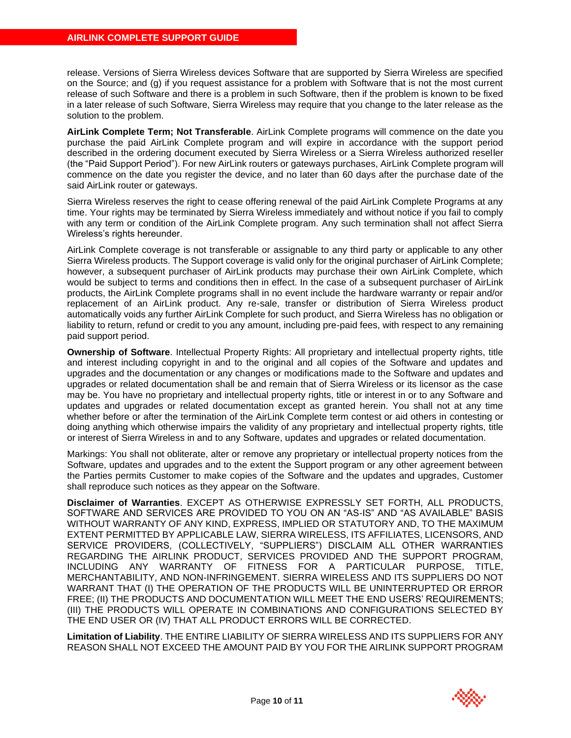release. Versions of Sierra Wireless devices Software that are supported by Sierra Wireless are specified on the Source; and (g) if you request assistance for a problem with Software that is not the most current release of such Software and there is a problem in such Software, then if the problem is known to be fixed in a later release of such Software, Sierra Wireless may require that you change to the later release as the solution to the problem.

**AirLink Complete Term; Not Transferable**. AirLink Complete programs will commence on the date you purchase the paid AirLink Complete program and will expire in accordance with the support period described in the ordering document executed by Sierra Wireless or a Sierra Wireless authorized reseller (the "Paid Support Period"). For new AirLink routers or gateways purchases, AirLink Complete program will commence on the date you register the device, and no later than 60 days after the purchase date of the said AirLink router or gateways.

Sierra Wireless reserves the right to cease offering renewal of the paid AirLink Complete Programs at any time. Your rights may be terminated by Sierra Wireless immediately and without notice if you fail to comply with any term or condition of the AirLink Complete program. Any such termination shall not affect Sierra Wireless's rights hereunder.

AirLink Complete coverage is not transferable or assignable to any third party or applicable to any other Sierra Wireless products. The Support coverage is valid only for the original purchaser of AirLink Complete; however, a subsequent purchaser of AirLink products may purchase their own AirLink Complete, which would be subject to terms and conditions then in effect. In the case of a subsequent purchaser of AirLink products, the AirLink Complete programs shall in no event include the hardware warranty or repair and/or replacement of an AirLink product. Any re-sale, transfer or distribution of Sierra Wireless product automatically voids any further AirLink Complete for such product, and Sierra Wireless has no obligation or liability to return, refund or credit to you any amount, including pre-paid fees, with respect to any remaining paid support period.

**Ownership of Software**. Intellectual Property Rights: All proprietary and intellectual property rights, title and interest including copyright in and to the original and all copies of the Software and updates and upgrades and the documentation or any changes or modifications made to the Software and updates and upgrades or related documentation shall be and remain that of Sierra Wireless or its licensor as the case may be. You have no proprietary and intellectual property rights, title or interest in or to any Software and updates and upgrades or related documentation except as granted herein. You shall not at any time whether before or after the termination of the AirLink Complete term contest or aid others in contesting or doing anything which otherwise impairs the validity of any proprietary and intellectual property rights, title or interest of Sierra Wireless in and to any Software, updates and upgrades or related documentation.

Markings: You shall not obliterate, alter or remove any proprietary or intellectual property notices from the Software, updates and upgrades and to the extent the Support program or any other agreement between the Parties permits Customer to make copies of the Software and the updates and upgrades, Customer shall reproduce such notices as they appear on the Software.

**Disclaimer of Warranties**. EXCEPT AS OTHERWISE EXPRESSLY SET FORTH, ALL PRODUCTS, SOFTWARE AND SERVICES ARE PROVIDED TO YOU ON AN "AS-IS" AND "AS AVAILABLE" BASIS WITHOUT WARRANTY OF ANY KIND, EXPRESS, IMPLIED OR STATUTORY AND, TO THE MAXIMUM EXTENT PERMITTED BY APPLICABLE LAW, SIERRA WIRELESS, ITS AFFILIATES, LICENSORS, AND SERVICE PROVIDERS, (COLLECTIVELY, "SUPPLIERS") DISCLAIM ALL OTHER WARRANTIES REGARDING THE AIRLINK PRODUCT, SERVICES PROVIDED AND THE SUPPORT PROGRAM, INCLUDING ANY WARRANTY OF FITNESS FOR A PARTICULAR PURPOSE, TITLE, MERCHANTABILITY, AND NON-INFRINGEMENT. SIERRA WIRELESS AND ITS SUPPLIERS DO NOT WARRANT THAT (I) THE OPERATION OF THE PRODUCTS WILL BE UNINTERRUPTED OR ERROR FREE; (II) THE PRODUCTS AND DOCUMENTATION WILL MEET THE END USERS' REQUIREMENTS; (III) THE PRODUCTS WILL OPERATE IN COMBINATIONS AND CONFIGURATIONS SELECTED BY THE END USER OR (IV) THAT ALL PRODUCT ERRORS WILL BE CORRECTED.

**Limitation of Liability**. THE ENTIRE LIABILITY OF SIERRA WIRELESS AND ITS SUPPLIERS FOR ANY REASON SHALL NOT EXCEED THE AMOUNT PAID BY YOU FOR THE AIRLINK SUPPORT PROGRAM